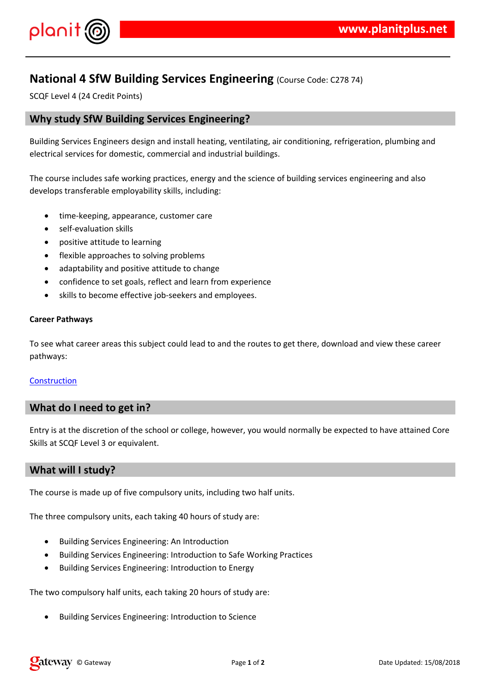#### $!$  " # \$  $\%$  % &

'%\$%&#%()%&%&&\*%&%**&\$\$**%\$%&+%(&%%%&&<del>%&</del>, 

 $\frac{1}{2}$  (  $% & ($ \$ 0%&&(\*%((%+&&-%\$&&%&#%&(&  $8 - 5$ ,  $9 - 26$   $8 - 20$   $6 - 5$  $# S$ 

 $\%$ , 10 % & + (  $, 8($  +  $$1 \# $$  % & 0%\$\$  $-$  \$,  $$2\% - $$  $-$  % \$ % 8 % % % # &  $(8. % 8. (8. )$ <br>0 % \$ \$ (,  $(3\%$  #1 0 , \$ )

 $1$  \* (  $-3*(\%$  (\$\$ & \* \* +  $&85$  & #%

#### & (%&

 $98$  % \* % ( ( \* % \$ & \$ \$ \* + \* # + \$ & , \$ \$ 2 ( \* #  $%8$  $\frac{1}{2}$  # \$ 4 5 % # \$ & . 0 % \$ \$

 $1^*$  ( %, %#, \$ &% + %&(\$\$&%&.

 $1^*$  \* (, \$ &% + (\* \* 0 % &

 $1\%$ \$ %& #  $%$  ( 6) 887 8% & (%% &  $1\%$ \$ % & #%(7)&%%&(%%&8 0%& (%( # % ( 7) & % & ( % % ) & &  $1\%$ \$ % &

 $( ,$  \$  $*$  \$  $(*8\%0\% + 8)$  $/$  \*

 $\frac{1}{2}$  % \$ % & # % ( 7) & % & ( % % & % & (